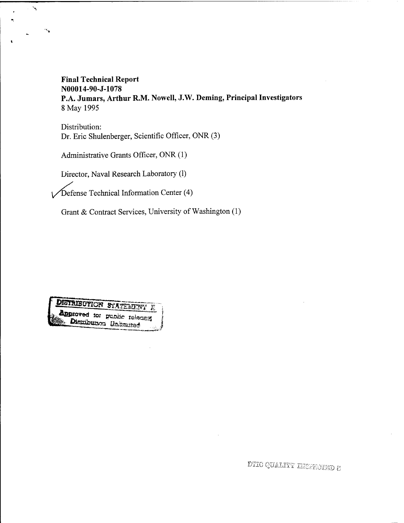## **Final Technical Report N00014-90-J-1078 P.A. Jumars, Arthur R.M. Nowell, J.W. Deming, Principal Investigators** 8 May 1995

Distribution: Dr. Eric Shulenberger, Scientific Officer, ONR (3)

Administrative Grants Officer, ONR (1)

 $\tilde{\phantom{a}}$ 

Director, Naval Research Laboratory (1)

 $\sqrt{\text{Defense Technical Information Center (4)}}$ 

Grant & Contract Services, University of Washington (1)

#### **DISTRIBUTION**  $S^{\omega}$

**Approved to:** public release

DTIC QUALITY INSPECTED 8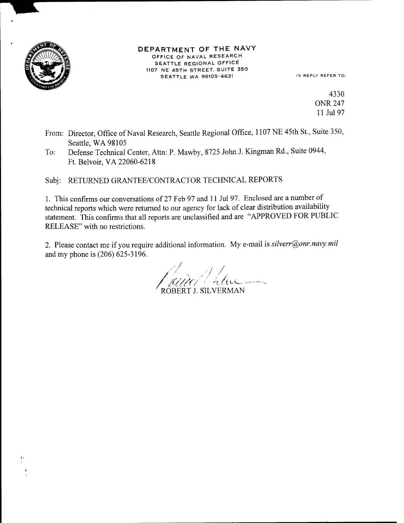

#### DEPARTMENT OF THE NAVY OFFICE OF NAVAL RESEARCH SEATTLE REGIONAL OFFICE 1107 NE 45TH STREET, SUITE 350 SEATTLE WA 98105-4631 IN REPLY REFER TO:

4330 ONR 247 11 Jul 97

- From: Director, Office of Naval Research, Seattle Regional Office, 1107 NE 45th St., Suite 350, Seattle, WA 98105
- To: Defense Technical Center, Atta: P. Mawby, 8725 John J. Kingman Rd., Suite 0944, Ft. Belvoir,VA 22060-6218

Subj: RETURNED GRANTEE/CONTRACTOR TECHNICAL REPORTS

1. This confirms our conversations of 27 Feb 97 and <sup>11</sup> Jul 97. Enclosed are a number of technical reports which were returned to our agency for lack of clear distribution availability statement. This confirms that all reports are unclassified and are "APPROVED FOR PUBLIC RELEASE" with no restrictions.

2. Please contact me if you require additional information. My e-mail is *silverr@onr.navy.mil* and my phone is (206) 625-3196.

**/ -' <sup>a</sup>** *ci^***— --V** ROBERT J. SILVERMAN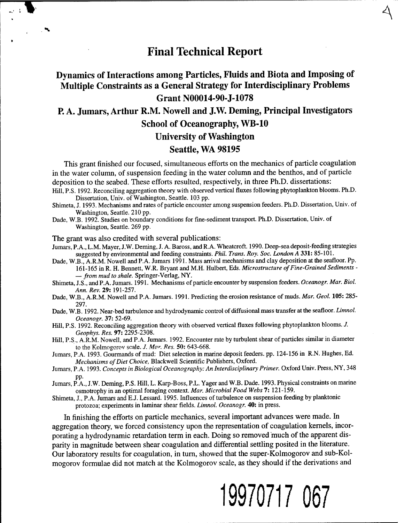# **Final Technical Report**

**A**

## Dynamics of Interactions among Particles, Fluids and Biota and Imposing of Multiple Constraints as a General Strategy for Interdisciplinary Problems Grant N00014-90-J-1078

P. A. Jumars, Arthur R.M. Nowell and J.W. Deming, Principal Investigators School of Oceanography, WB-10

University of Washington

### Seattle, WA 98195

This grant finished our focused, simultaneous efforts on the mechanics of particle coagulation in the water column, of suspension feeding in the water column and the benthos, and of particle deposition to the seabed. These efforts resulted, respectively, in three Ph.D. dissertations: Hill, P.S. 1992. Reconciling aggregation theory with observed vertical fluxes following phytoplankton blooms. Ph.D.

- Dissertation, Univ. of Washington, Seattle. 103 pp.
- Shimeta, J. 1993. Mechanisms and rates of particle encounter among suspension feeders. Ph.D. Dissertation, Univ. of Washington, Seattle. 210 pp.
- Dade, W.B. 1992. Studies on boundary conditions for fine-sediment transport. Ph.D. Dissertation, Univ. of Washington, Seattle. 269 pp.

The grant was also credited with several publications:

Jumars, P.A., L.M. Mayer, J.W. Deming, J. A. Baross, and R.A. Wheatcroft. 1990. Deep-sea deposit-feeding strategies suggested by environmental and feeding constraints. *Phil. Trans. Roy. Soc. London A* **331:** 85-101.

- Dade, W.B., A.R.M. Nowell and P.A. Jumars 1991. Mass arrival mechanisms and clay deposition at the seafloor. Pp. 161-165 in R. H. Bennett, W.R. Bryant and M.H. Hulbert, Eds. *Microstructure ofFine-Grained Sediments -* — *from mud to shale.* Springer-Verlag, NY.
- Shimeta, J.S., andP.A. Jumars. 1991. Mechanisms of particle encounter by suspension feeders. *Oceanogr. Mar. Biol. Ann. Rev.* 29: 191-257.
- Dade, W.B., A.R.M. Nowell and P.A. Jumars. 1991. Predicting the erosion resistance of muds. *Mar. Geol.* **105:** 285- 297.
- Dade, W.B. 1992. Near-bed turbulence and hydrodynamic control of diffusional mass transfer at the seafloor. *Limnol. Oceanogr.* 37: 52-69.
- Hill, P.S. 1992. Reconciling aggregation theory with observed vertical fluxes following phytoplankton blooms. *J. Geophys. Res.* 97: 2295-2308.
- Hill, P.S., A.R.M. Nowell, and P.A. Jumars. 1992. Encounter rate by turbulent shear of particles similar in diameter to the Kolmogorov scale. *J. Mar Res.* **50:** 643-668.
- Jumars, P.A. 1993. Gourmands of mud: Diet selection in marine deposit feeders, pp. 124-156 in R.N. Hughes, Ed. *Mechanisms of Diet Choice, Blackwell Scientific Publishers, Oxford.*
- Jumars, P.A. 1993. *Concepts in Biological Oceanography: An Interdisciplinary Primer.* Oxford Univ. Press, NY, 348 pp.
- Jumars, P.A., J.W. Deming, P.S. Hill, L. Karp-Boss, P.L. Yager and W.B. Dade. 1993. Physical constraints on marine osmotrophy in an optimal foraging context. *Mar. Microbial Food Webs* 7: 121-159.
- Shimeta, J., P.A. Jumars and E.J. Lessard. 1995. Influences of turbulence on suspension feeding by planktonic protozoa; experiments in laminar shear fields. *Limnol. Oceanogr.* 40: in press.

In finishing the efforts on particle mechanics, several important advances were made. In aggregation theory, we forced consistency upon the representation of coagulation kernels, incorporating a hydrodynamic retardation term in each. Doing so removed much of the apparent disparity in magnitude between shear coagulation and differential settling posited in the literature. Our laboratory results for coagulation, in turn, showed that the super-Kolmogorov and sub-Kolmogorov formulae did not match at the Kolmogorov scale, as they should if the derivations and

# **19970717 067**